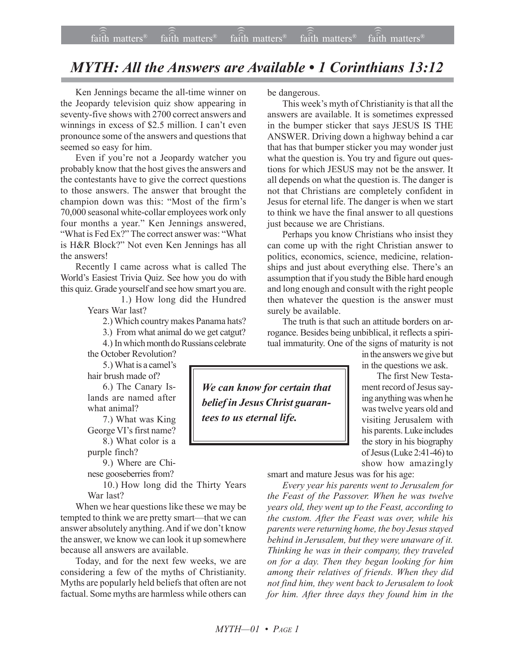## *MYTH: All the Answers are Available • 1 Corinthians 13:12*

Ken Jennings became the all-time winner on the Jeopardy television quiz show appearing in seventy-five shows with 2700 correct answers and winnings in excess of \$2.5 million. I can't even pronounce some of the answers and questions that seemed so easy for him.

Even if you're not a Jeopardy watcher you probably know that the host gives the answers and the contestants have to give the correct questions to those answers. The answer that brought the champion down was this: "Most of the firm's 70,000 seasonal white-collar employees work only four months a year." Ken Jennings answered, "What is Fed Ex?" The correct answer was: "What is H&R Block?" Not even Ken Jennings has all the answers!

Recently I came across what is called The World's Easiest Trivia Quiz. See how you do with this quiz. Grade yourself and see how smart you are.

> 1.) How long did the Hundred Years War last?

2.) Which country makes Panama hats?

3.) From what animal do we get catgut?

4.) In which month do Russians celebrate

the October Revolution? 5.) What is a camel's hair brush made of?

6.) The Canary Islands are named after what animal?

7.) What was King George VI's first name? 8.) What color is a

purple finch?

9.) Where are Chinese gooseberries from?

10.) How long did the Thirty Years War last?

When we hear questions like these we may be tempted to think we are pretty smart—that we can answer absolutely anything. And if we don't know the answer, we know we can look it up somewhere because all answers are available.

Today, and for the next few weeks, we are considering a few of the myths of Christianity. Myths are popularly held beliefs that often are not factual. Some myths are harmless while others can be dangerous.

This week's myth of Christianity is that all the answers are available. It is sometimes expressed in the bumper sticker that says JESUS IS THE ANSWER. Driving down a highway behind a car that has that bumper sticker you may wonder just what the question is. You try and figure out questions for which JESUS may not be the answer. It all depends on what the question is. The danger is not that Christians are completely confident in Jesus for eternal life. The danger is when we start to think we have the final answer to all questions just because we are Christians.

Perhaps you know Christians who insist they can come up with the right Christian answer to politics, economics, science, medicine, relationships and just about everything else. There's an assumption that if you study the Bible hard enough and long enough and consult with the right people then whatever the question is the answer must surely be available.

The truth is that such an attitude borders on arrogance. Besides being unbiblical, it reflects a spiritual immaturity. One of the signs of maturity is not

*We can know for certain that belief in Jesus Christ guarantees to us eternal life.*

in the answers we give but in the questions we ask.

The first New Testament record of Jesus saying anything was when he was twelve years old and visiting Jerusalem with his parents. Luke includes the story in his biography of Jesus (Luke 2:41-46) to show how amazingly

smart and mature Jesus was for his age:

*Every year his parents went to Jerusalem for the Feast of the Passover. When he was twelve years old, they went up to the Feast, according to the custom. After the Feast was over, while his parents were returning home, the boy Jesus stayed behind in Jerusalem, but they were unaware of it. Thinking he was in their company, they traveled on for a day. Then they began looking for him among their relatives of friends. When they did not find him, they went back to Jerusalem to look for him. After three days they found him in the*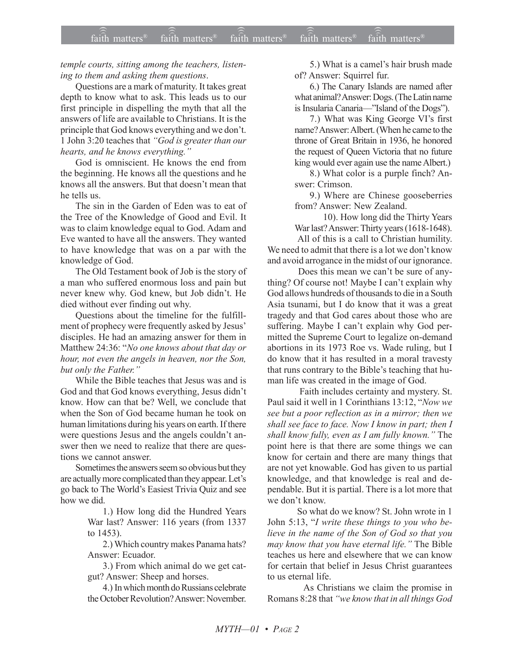temple courts, sitting among the teachers, listening to them and asking them questions.

Questions are a mark of maturity. It takes great depth to know what to ask. This leads us to our first principle in dispelling the myth that all the answers of life are available to Christians. It is the principle that God knows everything and we don't. 1 John 3:20 teaches that "God is greater than our hearts, and he knows everything."

God is omniscient. He knows the end from the beginning. He knows all the questions and he knows all the answers. But that doesn't mean that he tells us.

The sin in the Garden of Eden was to eat of the Tree of the Knowledge of Good and Evil. It was to claim knowledge equal to God. Adam and Eve wanted to have all the answers. They wanted to have knowledge that was on a par with the knowledge of God.

The Old Testament book of Job is the story of a man who suffered enormous loss and pain but never knew why. God knew, but Job didn't. He died without ever finding out why.

Questions about the timeline for the fulfillment of prophecy were frequently asked by Jesus' disciples. He had an amazing answer for them in Matthew 24:36: "No one knows about that day or hour, not even the angels in heaven, nor the Son, but only the Father."

While the Bible teaches that Jesus was and is God and that God knows everything, Jesus didn't know. How can that be? Well, we conclude that when the Son of God became human he took on human limitations during his years on earth. If there were questions Jesus and the angels couldn't answer then we need to realize that there are questions we cannot answer.

Sometimes the answers seem so obvious but they are actually more complicated than they appear. Let's go back to The World's Easiest Trivia Quiz and see how we did.

> 1.) How long did the Hundred Years War last? Answer: 116 years (from 1337 to  $1453$ ).

> 2.) Which country makes Panama hats? Answer: Ecuador.

> 3.) From which animal do we get catgut? Answer: Sheep and horses.

> 4.) In which month do Russians celebrate the October Revolution? Answer: November.

5.) What is a camel's hair brush made of? Answer: Squirrel fur.

6.) The Canary Islands are named after what animal? Answer: Dogs. (The Latin name is Insularia Canaria—"Island of the Dogs").

7.) What was King George VI's first name? Answer: Albert. (When he came to the throne of Great Britain in 1936, he honored the request of Queen Victoria that no future king would ever again use the name Albert.)

8.) What color is a purple finch? Answer: Crimson.

9.) Where are Chinese gooseberries from? Answer: New Zealand.

10). How long did the Thirty Years War last? Answer: Thirty years (1618-1648).

All of this is a call to Christian humility. We need to admit that there is a lot we don't know and avoid arrogance in the midst of our ignorance.

Does this mean we can't be sure of anything? Of course not! Maybe I can't explain why God allows hundreds of thousands to die in a South Asia tsunami, but I do know that it was a great tragedy and that God cares about those who are suffering. Maybe I can't explain why God permitted the Supreme Court to legalize on-demand abortions in its 1973 Roe vs. Wade ruling, but I do know that it has resulted in a moral travesty that runs contrary to the Bible's teaching that human life was created in the image of God.

Faith includes certainty and mystery. St. Paul said it well in 1 Corinthians 13:12, "Now we see but a poor reflection as in a mirror; then we shall see face to face. Now I know in part; then I shall know fully, even as I am fully known." The point here is that there are some things we can know for certain and there are many things that are not yet knowable. God has given to us partial knowledge, and that knowledge is real and dependable. But it is partial. There is a lot more that we don't know

So what do we know? St. John wrote in 1 John 5:13, "I write these things to you who believe in the name of the Son of God so that you may know that you have eternal life." The Bible teaches us here and elsewhere that we can know for certain that belief in Jesus Christ guarantees to us eternal life.

As Christians we claim the promise in Romans 8:28 that "we know that in all things God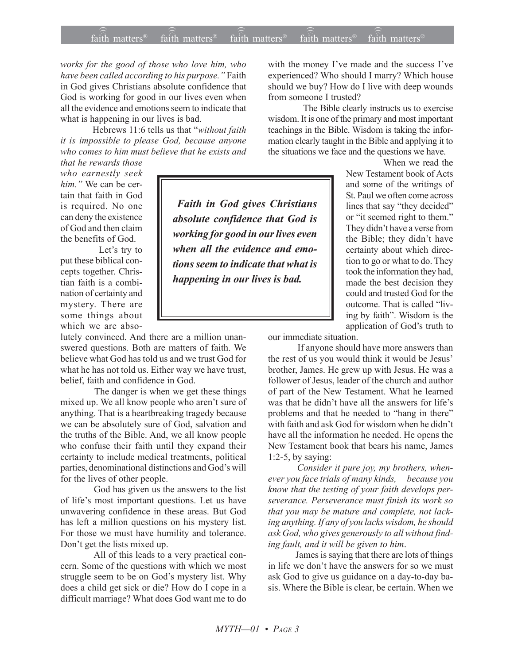*works for the good of those who love him, who* have been called according to his purpose.<sup>"</sup> Faith in God gives Christians absolute confidence that God is working for good in our lives even when all the evidence and emotions seem to indicate that what is happening in our lives is bad.

Hebrews 11:6 tells us that "without faith *it is impossible to please God, because anyone who comes to him must believe that he exists and*

*that he rewards those who earnestly seek him.*" We can be certain that faith in God is required. No one can deny the existence of God and then claim the benefits of God.

Let's try to put these biblical concepts together. Christian faith is a combination of certainty and mystery. There are some things about which we are abso-

lutely convinced. And there are a million unanswered questions. Both are matters of faith. We believe what God has told us and we trust God for what he has not told us. Either way we have trust, belief, faith and confidence in God.

 The danger is when we get these things mixed up. We all know people who aren't sure of anything. That is a heartbreaking tragedy because we can be absolutely sure of God, salvation and the truths of the Bible. And, we all know people who confuse their faith until they expand their certainty to include medical treatments, political parties, denominational distinctions and God's will for the lives of other people.

 God has given us the answers to the list of life's most important questions. Let us have unwavering confidence in these areas. But God has left a million questions on his mystery list. For those we must have humility and tolerance. Don't get the lists mixed up.

 All of this leads to a very practical concern. Some of the questions with which we most struggle seem to be on God's mystery list. Why does a child get sick or die? How do I cope in a difficult marriage? What does God want me to do with the money I've made and the success I've experienced? Who should I marry? Which house should we buy? How do I live with deep wounds from someone I trusted?

 The Bible clearly instructs us to exercise wisdom. It is one of the primary and most important teachings in the Bible. Wisdom is taking the information clearly taught in the Bible and applying it to the situations we face and the questions we have.

When we read the

New Testament book of Acts and some of the writings of St. Paul we often come across lines that say "they decided" or "it seemed right to them." They didn't have a verse from the Bible; they didn't have certainty about which direction to go or what to do. They took the information they had, made the best decision they could and trusted God for the outcome. That is called "living by faith". Wisdom is the application of God's truth to

our immediate situation.

 If anyone should have more answers than the rest of us you would think it would be Jesus' brother, James. He grew up with Jesus. He was a follower of Jesus, leader of the church and author of part of the New Testament. What he learned was that he didn't have all the answers for life's problems and that he needed to "hang in there" with faith and ask God for wisdom when he didn't have all the information he needed. He opens the New Testament book that bears his name, James 1:2-5, by saying:

 *Consider it pure joy, my brothers, whenever you face trials of many kinds, because you know that the testing of your faith develops perseverance. Perseverance must finish its work so that you may be mature and complete, not lacking anything. If any of you lacks wisdom, he should ask God, who gives generously to all without finding fault, and it will be given to him*.

 James is saying that there are lots of things in life we don't have the answers for so we must ask God to give us guidance on a day-to-day basis. Where the Bible is clear, be certain. When we

 *Faith in God gives Christians absolute confidence that God is working for good in our lives even when all the evidence and emotions seem to indicate that what is happening in our lives is bad.*